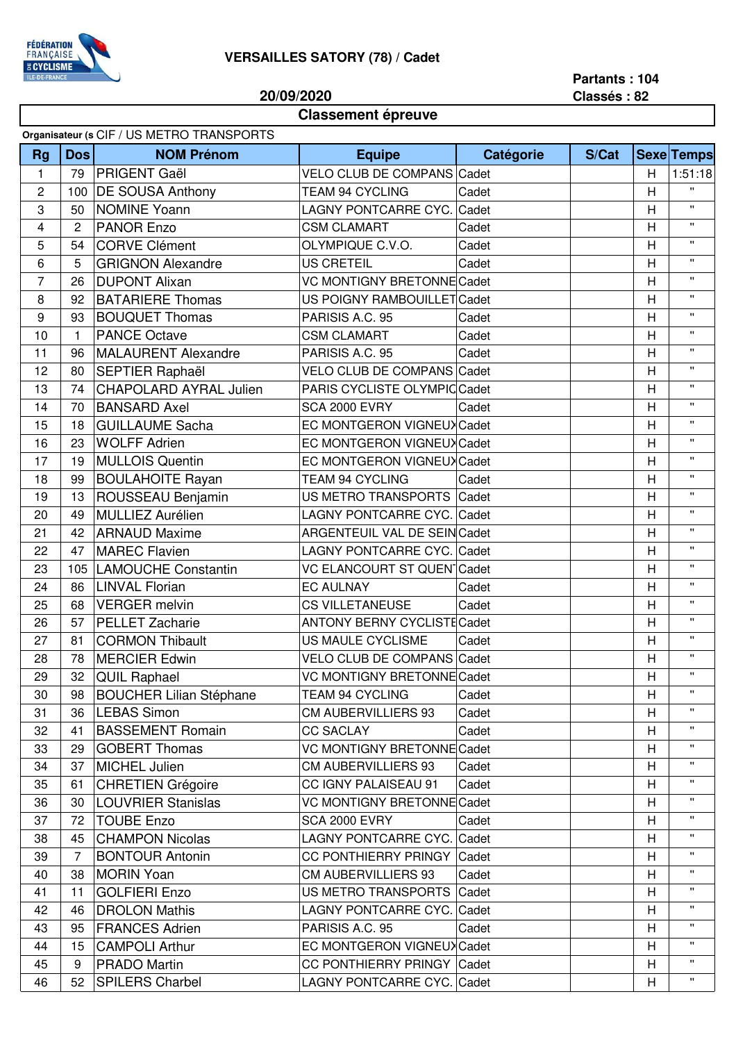

## **VERSAILLES SATORY (78) / Cadet**

**20/09/2020**

## **Partants : 104 Classés : 82**

## **Classement épreuve**

|                |                | Organisateur (s CIF / US METRO TRANSPORTS |                                    |           |       |   |                    |
|----------------|----------------|-------------------------------------------|------------------------------------|-----------|-------|---|--------------------|
| <b>Rg</b>      | <b>Dos</b>     | <b>NOM Prénom</b>                         | <b>Equipe</b>                      | Catégorie | S/Cat |   | <b>Sexe Temps</b>  |
| $\mathbf{1}$   | 79             | <b>PRIGENT Gaël</b>                       | VELO CLUB DE COMPANS Cadet         |           |       | H | 1:51:18            |
| 2              | 100            | <b>DE SOUSA Anthony</b>                   | <b>TEAM 94 CYCLING</b>             | Cadet     |       | H | π.                 |
| 3              | 50             | <b>NOMINE Yoann</b>                       | LAGNY PONTCARRE CYC. Cadet         |           |       | H | $\mathbf{H}$       |
| 4              | 2              | <b>PANOR Enzo</b>                         | <b>CSM CLAMART</b>                 | Cadet     |       | H | $\mathbf{H}$       |
| 5              | 54             | <b>CORVE Clément</b>                      | OLYMPIQUE C.V.O.                   | Cadet     |       | H | $\mathbf{H}$       |
| 6              | 5              | <b>GRIGNON Alexandre</b>                  | <b>US CRETEIL</b>                  | Cadet     |       | H | $\mathbf{H}$       |
| $\overline{7}$ | 26             | <b>DUPONT Alixan</b>                      | <b>VC MONTIGNY BRETONNE Cadet</b>  |           |       | H | $\mathbf{H}$       |
| 8              | 92             | <b>BATARIERE Thomas</b>                   | US POIGNY RAMBOUILLET Cadet        |           |       | H | $\mathbf{H}$       |
| 9              | 93             | <b>BOUQUET Thomas</b>                     | PARISIS A.C. 95                    | Cadet     |       | H | $\mathbf{H}$       |
| 10             | 1              | <b>PANCE Octave</b>                       | <b>CSM CLAMART</b>                 | Cadet     |       | H | $\mathbf{H}$       |
| 11             | 96             | <b>MALAURENT Alexandre</b>                | PARISIS A.C. 95                    | Cadet     |       | H | $\mathbf{H}$       |
| 12             | 80             | <b>SEPTIER Raphaël</b>                    | VELO CLUB DE COMPANS Cadet         |           |       | H | $\mathbf{H}$       |
| 13             | 74             | <b>CHAPOLARD AYRAL Julien</b>             | PARIS CYCLISTE OLYMPIC Cadet       |           |       | H | $\mathbf{H}$       |
| 14             | 70             | <b>BANSARD Axel</b>                       | <b>SCA 2000 EVRY</b>               | Cadet     |       | H | $\mathbf{H}$       |
| 15             | 18             | <b>GUILLAUME Sacha</b>                    | EC MONTGERON VIGNEUX Cadet         |           |       | H | $\mathbf{H}$       |
| 16             | 23             | <b>WOLFF Adrien</b>                       | EC MONTGERON VIGNEUX Cadet         |           |       | H | $\mathbf{H}$       |
| 17             | 19             | <b>MULLOIS Quentin</b>                    | EC MONTGERON VIGNEUX Cadet         |           |       | H | $\mathbf{H}$       |
| 18             | 99             | <b>BOULAHOITE Rayan</b>                   | <b>TEAM 94 CYCLING</b>             | Cadet     |       | H | $\mathbf{H}$       |
| 19             | 13             | ROUSSEAU Benjamin                         | US METRO TRANSPORTS Cadet          |           |       | H | $\mathbf{H}$       |
| 20             | 49             | <b>MULLIEZ Aurélien</b>                   | LAGNY PONTCARRE CYC. Cadet         |           |       | H | $\mathbf{H}$       |
| 21             | 42             | <b>ARNAUD Maxime</b>                      | ARGENTEUIL VAL DE SEIN Cadet       |           |       | Н | $\mathbf{H}$       |
| 22             | 47             | <b>MAREC Flavien</b>                      | LAGNY PONTCARRE CYC. Cadet         |           |       | H | $\pmb{\mathsf{H}}$ |
|                |                |                                           |                                    |           |       |   | $\mathbf{H}$       |
| 23             | 105            | <b>LAMOUCHE Constantin</b>                | <b>VC ELANCOURT ST QUEN Cadet</b>  |           |       | H | $\mathbf{H}$       |
| 24             | 86             | <b>LINVAL Florian</b>                     | <b>EC AULNAY</b>                   | Cadet     |       | H | $\mathbf{H}$       |
| 25             | 68             | <b>VERGER</b> melvin                      | CS VILLETANEUSE                    | Cadet     |       | H | $\mathbf{H}$       |
| 26             | 57             | <b>PELLET Zacharie</b>                    | <b>ANTONY BERNY CYCLISTE Cadet</b> |           |       | H |                    |
| 27             | 81             | <b>CORMON Thibault</b>                    | US MAULE CYCLISME                  | Cadet     |       | H | $\mathbf{H}$       |
| 28             | 78             | <b>MERCIER Edwin</b>                      | VELO CLUB DE COMPANS Cadet         |           |       | H | $\mathbf{H}$       |
| 29             | 32             | <b>QUIL Raphael</b>                       | <b>VC MONTIGNY BRETONNE Cadet</b>  |           |       | H | $\pmb{\mathsf{H}}$ |
| 30             | 98             | <b>BOUCHER Lilian Stéphane</b>            | TEAM 94 CYCLING                    | Cadet     |       | H | $\mathbf{H}$       |
| 31             | 36             | <b>LEBAS Simon</b>                        | <b>CM AUBERVILLIERS 93</b>         | Cadet     |       | H | π.                 |
| 32             | 41             | <b>BASSEMENT Romain</b>                   | <b>CC SACLAY</b>                   | Cadet     |       | H | $\mathbf{H}$       |
| 33             | 29             | <b>GOBERT Thomas</b>                      | <b>VC MONTIGNY BRETONNE Cadet</b>  |           |       | H | н.                 |
| 34             | 37             | <b>MICHEL Julien</b>                      | <b>CM AUBERVILLIERS 93</b>         | Cadet     |       | H | π.                 |
| 35             | 61             | <b>CHRETIEN Grégoire</b>                  | CC IGNY PALAISEAU 91               | Cadet     |       | H | Π.                 |
| 36             | 30             | <b>LOUVRIER Stanislas</b>                 | VC MONTIGNY BRETONNE Cadet         |           |       | H | π.                 |
| 37             | 72             | <b>TOUBE Enzo</b>                         | <b>SCA 2000 EVRY</b>               | Cadet     |       | Н | $\mathbf{H}$       |
| 38             | 45             | <b>CHAMPON Nicolas</b>                    | LAGNY PONTCARRE CYC. Cadet         |           |       | H | $\mathbf{H}$       |
| 39             | $\overline{7}$ | <b>BONTOUR Antonin</b>                    | CC PONTHIERRY PRINGY Cadet         |           |       | H | $\mathbf{H}$       |
| 40             | 38             | <b>MORIN Yoan</b>                         | <b>CM AUBERVILLIERS 93</b>         | Cadet     |       | н | н.                 |
| 41             | 11             | <b>GOLFIERI Enzo</b>                      | US METRO TRANSPORTS Cadet          |           |       | H | $\mathbf{H}$       |
| 42             | 46             | <b>DROLON Mathis</b>                      | LAGNY PONTCARRE CYC. Cadet         |           |       | H | $\mathbf{H}$       |
| 43             | 95             | <b>FRANCES Adrien</b>                     | PARISIS A.C. 95                    | Cadet     |       | H | $\mathbf{H}$       |
| 44             | 15             | <b>CAMPOLI Arthur</b>                     | EC MONTGERON VIGNEUX Cadet         |           |       | H | $\mathbf{H}$       |
| 45             | 9              | <b>PRADO Martin</b>                       | CC PONTHIERRY PRINGY Cadet         |           |       | H | $\mathbf{H}$       |
| 46             | 52             | <b>SPILERS Charbel</b>                    | LAGNY PONTCARRE CYC. Cadet         |           |       | H | п.                 |
|                |                |                                           |                                    |           |       |   |                    |